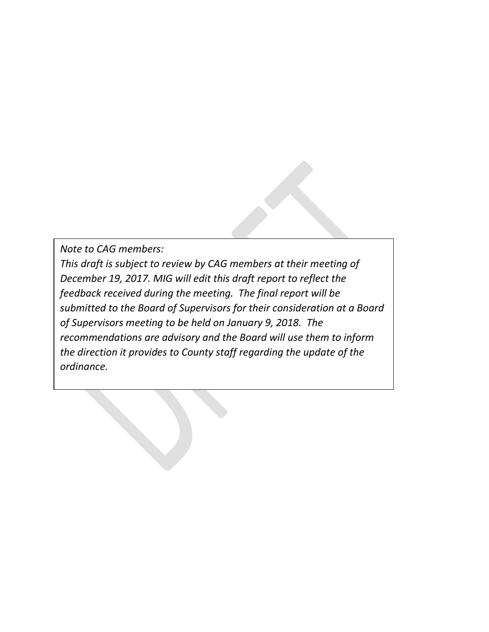*Note to CAG members:* 

*This draft is subject to review by CAG members at their meeting of December 19, 2017. MIG will edit this draft report to reflect the feedback received during the meeting. The final report will be submitted to the Board of Supervisors for their consideration at a Board of Supervisors meeting to be held on January 9, 2018. The recommendations are advisory and the Board will use them to inform the direction it provides to County staff regarding the update of the ordinance.*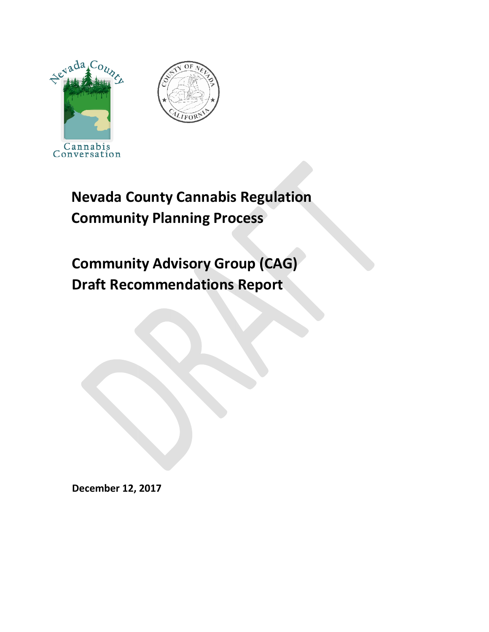



# **Nevada County Cannabis Regulation Community Planning Process**

# **Community Advisory Group (CAG) Draft Recommendations Report**

**December 12, 2017**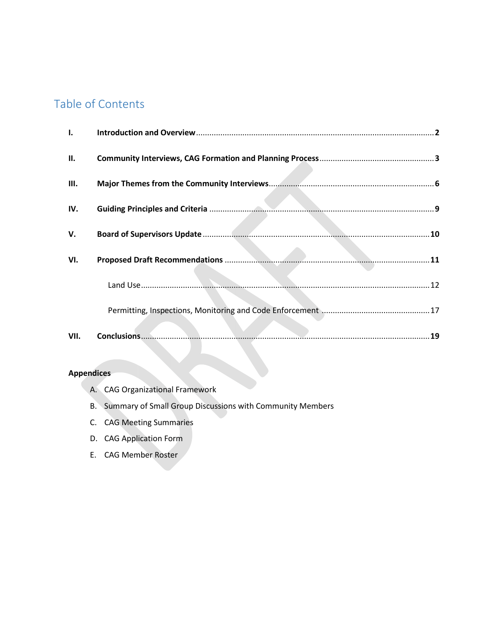# Table of Contents

| I.   |  |
|------|--|
| П.   |  |
| Ш.   |  |
| IV.  |  |
| V.   |  |
| VI.  |  |
|      |  |
|      |  |
| VII. |  |

### **Appendices**

- A. CAG Organizational Framework
- B. Summary of Small Group Discussions with Community Members
- C. CAG Meeting Summaries
- D. CAG Application Form
- E. CAG Member Roster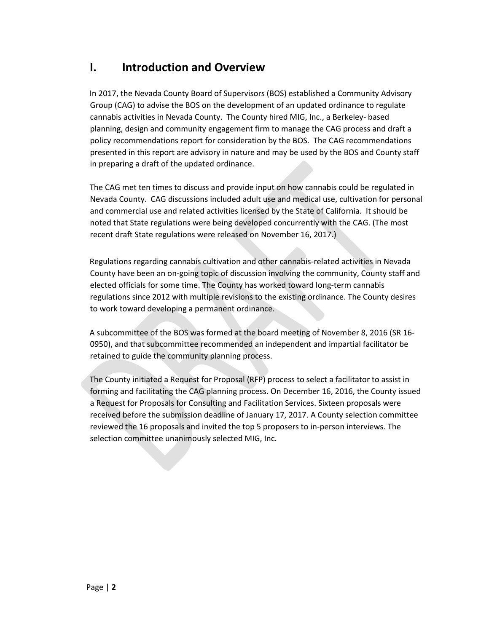# **I. Introduction and Overview**

In 2017, the Nevada County Board of Supervisors (BOS) established a Community Advisory Group (CAG) to advise the BOS on the development of an updated ordinance to regulate cannabis activities in Nevada County. The County hired MIG, Inc., a Berkeley- based planning, design and community engagement firm to manage the CAG process and draft a policy recommendations report for consideration by the BOS. The CAG recommendations presented in this report are advisory in nature and may be used by the BOS and County staff in preparing a draft of the updated ordinance.

The CAG met ten times to discuss and provide input on how cannabis could be regulated in Nevada County. CAG discussions included adult use and medical use, cultivation for personal and commercial use and related activities licensed by the State of California. It should be noted that State regulations were being developed concurrently with the CAG. (The most recent draft State regulations were released on November 16, 2017.)

Regulations regarding cannabis cultivation and other cannabis-related activities in Nevada County have been an on-going topic of discussion involving the community, County staff and elected officials for some time. The County has worked toward long-term cannabis regulations since 2012 with multiple revisions to the existing ordinance. The County desires to work toward developing a permanent ordinance.

A subcommittee of the BOS was formed at the board meeting of November 8, 2016 (SR 16- 0950), and that subcommittee recommended an independent and impartial facilitator be retained to guide the community planning process.

The County initiated a Request for Proposal (RFP) process to select a facilitator to assist in forming and facilitating the CAG planning process. On December 16, 2016, the County issued a Request for Proposals for Consulting and Facilitation Services. Sixteen proposals were received before the submission deadline of January 17, 2017. A County selection committee reviewed the 16 proposals and invited the top 5 proposers to in-person interviews. The selection committee unanimously selected MIG, Inc.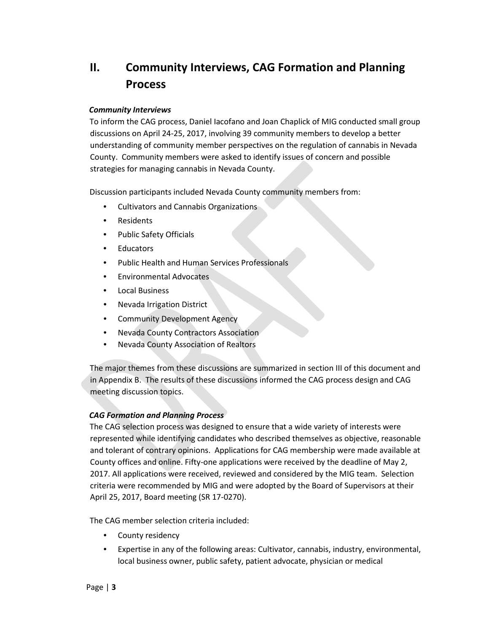# **II. Community Interviews, CAG Formation and Planning Process**

#### *Community Interviews*

To inform the CAG process, Daniel Iacofano and Joan Chaplick of MIG conducted small group discussions on April 24-25, 2017, involving 39 community members to develop a better understanding of community member perspectives on the regulation of cannabis in Nevada County. Community members were asked to identify issues of concern and possible strategies for managing cannabis in Nevada County.

Discussion participants included Nevada County community members from:

- Cultivators and Cannabis Organizations
- Residents
- Public Safety Officials
- Educators
- Public Health and Human Services Professionals
- Environmental Advocates
- Local Business
- Nevada Irrigation District
- Community Development Agency
- Nevada County Contractors Association
- Nevada County Association of Realtors

The major themes from these discussions are summarized in section III of this document and in Appendix B. The results of these discussions informed the CAG process design and CAG meeting discussion topics.

### *CAG Formation and Planning Process*

The CAG selection process was designed to ensure that a wide variety of interests were represented while identifying candidates who described themselves as objective, reasonable and tolerant of contrary opinions. Applications for CAG membership were made available at County offices and online. Fifty-one applications were received by the deadline of May 2, 2017. All applications were received, reviewed and considered by the MIG team. Selection criteria were recommended by MIG and were adopted by the Board of Supervisors at their April 25, 2017, Board meeting (SR 17-0270).

The CAG member selection criteria included:

- County residency
- Expertise in any of the following areas: Cultivator, cannabis, industry, environmental, local business owner, public safety, patient advocate, physician or medical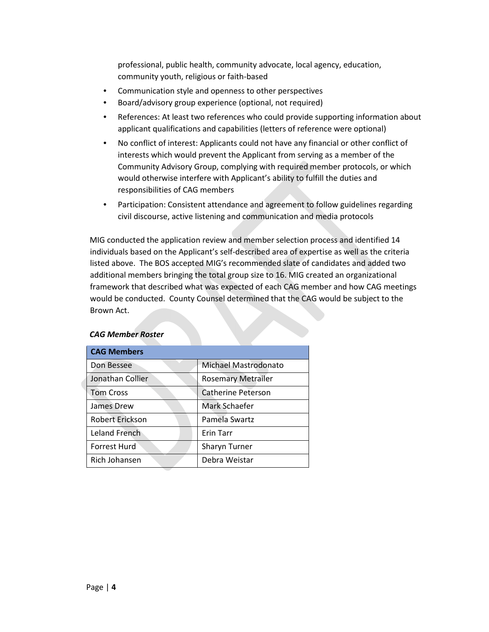professional, public health, community advocate, local agency, education, community youth, religious or faith-based

- Communication style and openness to other perspectives
- Board/advisory group experience (optional, not required)
- References: At least two references who could provide supporting information about applicant qualifications and capabilities (letters of reference were optional)
- No conflict of interest: Applicants could not have any financial or other conflict of interests which would prevent the Applicant from serving as a member of the Community Advisory Group, complying with required member protocols, or which would otherwise interfere with Applicant's ability to fulfill the duties and responsibilities of CAG members
- Participation: Consistent attendance and agreement to follow guidelines regarding civil discourse, active listening and communication and media protocols

MIG conducted the application review and member selection process and identified 14 individuals based on the Applicant's self-described area of expertise as well as the criteria listed above. The BOS accepted MIG's recommended slate of candidates and added two additional members bringing the total group size to 16. MIG created an organizational framework that described what was expected of each CAG member and how CAG meetings would be conducted. County Counsel determined that the CAG would be subject to the Brown Act.

|                                                  | <b>CAG Members</b> |                           |  |
|--------------------------------------------------|--------------------|---------------------------|--|
|                                                  | Don Bessee         | Michael Mastrodonato      |  |
|                                                  | Jonathan Collier   | <b>Rosemary Metrailer</b> |  |
|                                                  | <b>Tom Cross</b>   | <b>Catherine Peterson</b> |  |
|                                                  | James Drew         | Mark Schaefer             |  |
| Robert Erickson<br>Leland French<br>Forrest Hurd |                    | Pamela Swartz             |  |
|                                                  |                    | Erin Tarr                 |  |
|                                                  |                    | <b>Sharyn Turner</b>      |  |
|                                                  | Rich Johansen      | Debra Weistar             |  |

#### *CAG Member Roster*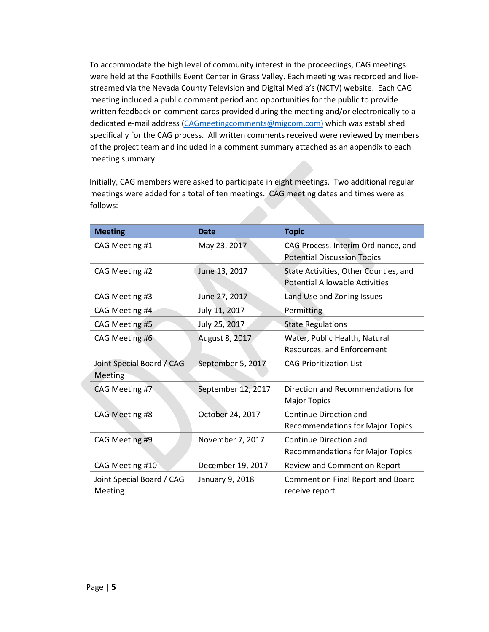To accommodate the high level of community interest in the proceedings, CAG meetings were held at the Foothills Event Center in Grass Valley. Each meeting was recorded and livestreamed via the Nevada County Television and Digital Media's (NCTV) website. Each CAG meeting included a public comment period and opportunities for the public to provide written feedback on comment cards provided during the meeting and/or electronically to a dedicated e-mail address (CAGmeetingcomments@migcom.com) which was established specifically for the CAG process. All written comments received were reviewed by members of the project team and included in a comment summary attached as an appendix to each meeting summary.

Initially, CAG members were asked to participate in eight meetings. Two additional regular meetings were added for a total of ten meetings. CAG meeting dates and times were as follows:

| <b>Meeting</b>                       | <b>Date</b>        | <b>Topic</b>                                                                   |
|--------------------------------------|--------------------|--------------------------------------------------------------------------------|
| CAG Meeting #1                       | May 23, 2017       | CAG Process, Interim Ordinance, and<br><b>Potential Discussion Topics</b>      |
| CAG Meeting #2                       | June 13, 2017      | State Activities, Other Counties, and<br><b>Potential Allowable Activities</b> |
| CAG Meeting #3                       | June 27, 2017      | Land Use and Zoning Issues                                                     |
| CAG Meeting #4                       | July 11, 2017      | Permitting                                                                     |
| CAG Meeting #5                       | July 25, 2017      | <b>State Regulations</b>                                                       |
| CAG Meeting #6                       | August 8, 2017     | Water, Public Health, Natural<br>Resources, and Enforcement                    |
| Joint Special Board / CAG<br>Meeting | September 5, 2017  | <b>CAG Prioritization List</b>                                                 |
| CAG Meeting #7                       | September 12, 2017 | Direction and Recommendations for<br><b>Major Topics</b>                       |
| CAG Meeting #8                       | October 24, 2017   | Continue Direction and<br><b>Recommendations for Major Topics</b>              |
| CAG Meeting #9                       | November 7, 2017   | Continue Direction and<br><b>Recommendations for Major Topics</b>              |
| CAG Meeting #10                      | December 19, 2017  | Review and Comment on Report                                                   |
| Joint Special Board / CAG<br>Meeting | January 9, 2018    | Comment on Final Report and Board<br>receive report                            |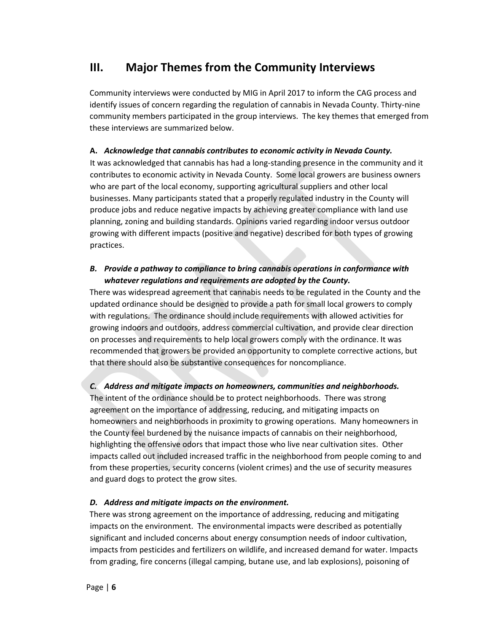# **III. Major Themes from the Community Interviews**

Community interviews were conducted by MIG in April 2017 to inform the CAG process and identify issues of concern regarding the regulation of cannabis in Nevada County. Thirty-nine community members participated in the group interviews. The key themes that emerged from these interviews are summarized below.

### **A.** *Acknowledge that cannabis contributes to economic activity in Nevada County.*

It was acknowledged that cannabis has had a long-standing presence in the community and it contributes to economic activity in Nevada County. Some local growers are business owners who are part of the local economy, supporting agricultural suppliers and other local businesses. Many participants stated that a properly regulated industry in the County will produce jobs and reduce negative impacts by achieving greater compliance with land use planning, zoning and building standards. Opinions varied regarding indoor versus outdoor growing with different impacts (positive and negative) described for both types of growing practices.

### *B. Provide a pathway to compliance to bring cannabis operations in conformance with whatever regulations and requirements are adopted by the County.*

There was widespread agreement that cannabis needs to be regulated in the County and the updated ordinance should be designed to provide a path for small local growers to comply with regulations. The ordinance should include requirements with allowed activities for growing indoors and outdoors, address commercial cultivation, and provide clear direction on processes and requirements to help local growers comply with the ordinance. It was recommended that growers be provided an opportunity to complete corrective actions, but that there should also be substantive consequences for noncompliance.

### *C. Address and mitigate impacts on homeowners, communities and neighborhoods.*

The intent of the ordinance should be to protect neighborhoods. There was strong agreement on the importance of addressing, reducing, and mitigating impacts on homeowners and neighborhoods in proximity to growing operations. Many homeowners in the County feel burdened by the nuisance impacts of cannabis on their neighborhood, highlighting the offensive odors that impact those who live near cultivation sites. Other impacts called out included increased traffic in the neighborhood from people coming to and from these properties, security concerns (violent crimes) and the use of security measures and guard dogs to protect the grow sites.

### *D. Address and mitigate impacts on the environment.*

There was strong agreement on the importance of addressing, reducing and mitigating impacts on the environment. The environmental impacts were described as potentially significant and included concerns about energy consumption needs of indoor cultivation, impacts from pesticides and fertilizers on wildlife, and increased demand for water. Impacts from grading, fire concerns (illegal camping, butane use, and lab explosions), poisoning of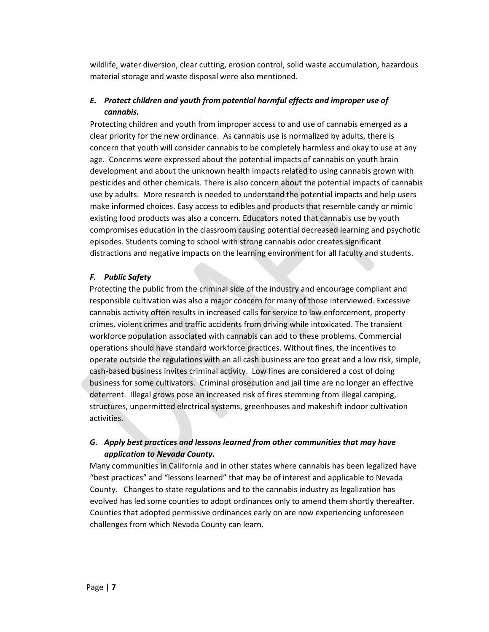wildlife, water diversion, clear cutting, erosion control, solid waste accumulation, hazardous material storage and waste disposal were also mentioned.

### *E. Protect children and youth from potential harmful effects and improper use of cannabis.*

Protecting children and youth from improper access to and use of cannabis emerged as a clear priority for the new ordinance. As cannabis use is normalized by adults, there is concern that youth will consider cannabis to be completely harmless and okay to use at any age. Concerns were expressed about the potential impacts of cannabis on youth brain development and about the unknown health impacts related to using cannabis grown with pesticides and other chemicals. There is also concern about the potential impacts of cannabis use by adults. More research is needed to understand the potential impacts and help users make informed choices. Easy access to edibles and products that resemble candy or mimic existing food products was also a concern. Educators noted that cannabis use by youth compromises education in the classroom causing potential decreased learning and psychotic episodes. Students coming to school with strong cannabis odor creates significant distractions and negative impacts on the learning environment for all faculty and students.

### *F. Public Safety*

Protecting the public from the criminal side of the industry and encourage compliant and responsible cultivation was also a major concern for many of those interviewed. Excessive cannabis activity often results in increased calls for service to law enforcement, property crimes, violent crimes and traffic accidents from driving while intoxicated. The transient workforce population associated with cannabis can add to these problems. Commercial operations should have standard workforce practices. Without fines, the incentives to operate outside the regulations with an all cash business are too great and a low risk, simple, cash-based business invites criminal activity. Low fines are considered a cost of doing business for some cultivators. Criminal prosecution and jail time are no longer an effective deterrent. Illegal grows pose an increased risk of fires stemming from illegal camping, structures, unpermitted electrical systems, greenhouses and makeshift indoor cultivation activities.

### *G. Apply best practices and lessons learned from other communities that may have application to Nevada County.*

Many communities in California and in other states where cannabis has been legalized have "best practices" and "lessons learned" that may be of interest and applicable to Nevada County. Changes to state regulations and to the cannabis industry as legalization has evolved has led some counties to adopt ordinances only to amend them shortly thereafter. Counties that adopted permissive ordinances early on are now experiencing unforeseen challenges from which Nevada County can learn.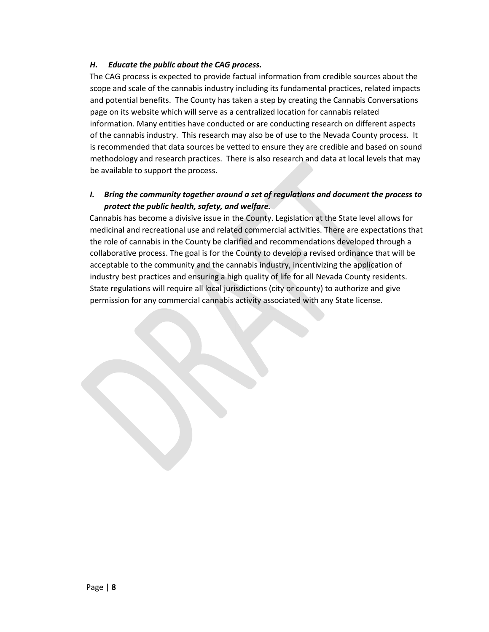### *H. Educate the public about the CAG process.*

The CAG process is expected to provide factual information from credible sources about the scope and scale of the cannabis industry including its fundamental practices, related impacts and potential benefits. The County has taken a step by creating the Cannabis Conversations page on its website which will serve as a centralized location for cannabis related information. Many entities have conducted or are conducting research on different aspects of the cannabis industry. This research may also be of use to the Nevada County process. It is recommended that data sources be vetted to ensure they are credible and based on sound methodology and research practices. There is also research and data at local levels that may be available to support the process.

### *I. Bring the community together around a set of regulations and document the process to protect the public health, safety, and welfare.*

Cannabis has become a divisive issue in the County. Legislation at the State level allows for medicinal and recreational use and related commercial activities. There are expectations that the role of cannabis in the County be clarified and recommendations developed through a collaborative process. The goal is for the County to develop a revised ordinance that will be acceptable to the community and the cannabis industry, incentivizing the application of industry best practices and ensuring a high quality of life for all Nevada County residents. State regulations will require all local jurisdictions (city or county) to authorize and give permission for any commercial cannabis activity associated with any State license.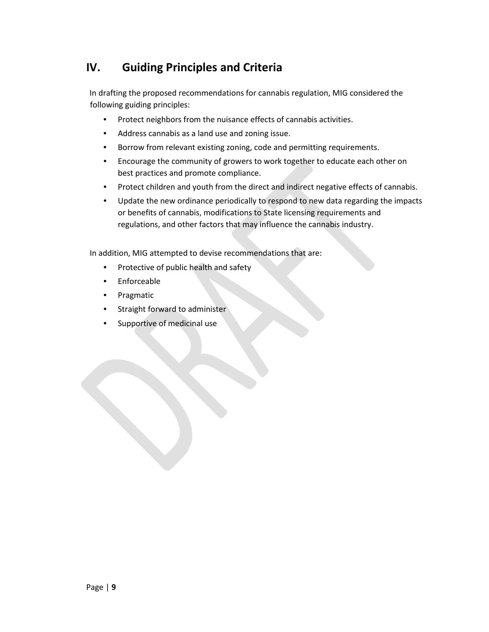# **IV. Guiding Principles and Criteria**

In drafting the proposed recommendations for cannabis regulation, MIG considered the following guiding principles:

- Protect neighbors from the nuisance effects of cannabis activities.
- Address cannabis as a land use and zoning issue.
- Borrow from relevant existing zoning, code and permitting requirements.
- Encourage the community of growers to work together to educate each other on best practices and promote compliance.
- Protect children and youth from the direct and indirect negative effects of cannabis.
- Update the new ordinance periodically to respond to new data regarding the impacts or benefits of cannabis, modifications to State licensing requirements and regulations, and other factors that may influence the cannabis industry.

In addition, MIG attempted to devise recommendations that are:

- Protective of public health and safety
- **Enforceable**
- Pragmatic
- Straight forward to administer
- Supportive of medicinal use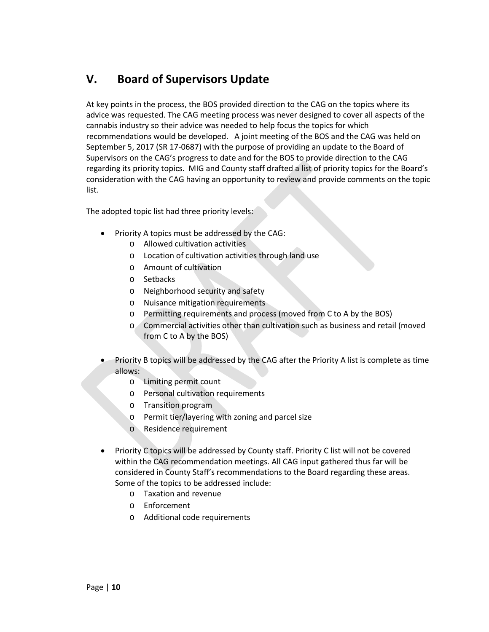# **V. Board of Supervisors Update**

At key points in the process, the BOS provided direction to the CAG on the topics where its advice was requested. The CAG meeting process was never designed to cover all aspects of the cannabis industry so their advice was needed to help focus the topics for which recommendations would be developed. A joint meeting of the BOS and the CAG was held on September 5, 2017 (SR 17-0687) with the purpose of providing an update to the Board of Supervisors on the CAG's progress to date and for the BOS to provide direction to the CAG regarding its priority topics. MIG and County staff drafted a list of priority topics for the Board's consideration with the CAG having an opportunity to review and provide comments on the topic list.

The adopted topic list had three priority levels:

- Priority A topics must be addressed by the CAG:
	- o Allowed cultivation activities
	- o Location of cultivation activities through land use
	- o Amount of cultivation
	- o Setbacks
	- o Neighborhood security and safety
	- o Nuisance mitigation requirements
	- o Permitting requirements and process (moved from C to A by the BOS)
	- o Commercial activities other than cultivation such as business and retail (moved from C to A by the BOS)
- Priority B topics will be addressed by the CAG after the Priority A list is complete as time allows:
	- o Limiting permit count
	- o Personal cultivation requirements
	- o Transition program
	- o Permit tier/layering with zoning and parcel size
	- o Residence requirement
- Priority C topics will be addressed by County staff. Priority C list will not be covered within the CAG recommendation meetings. All CAG input gathered thus far will be considered in County Staff's recommendations to the Board regarding these areas. Some of the topics to be addressed include:
	- o Taxation and revenue
	- o Enforcement
	- o Additional code requirements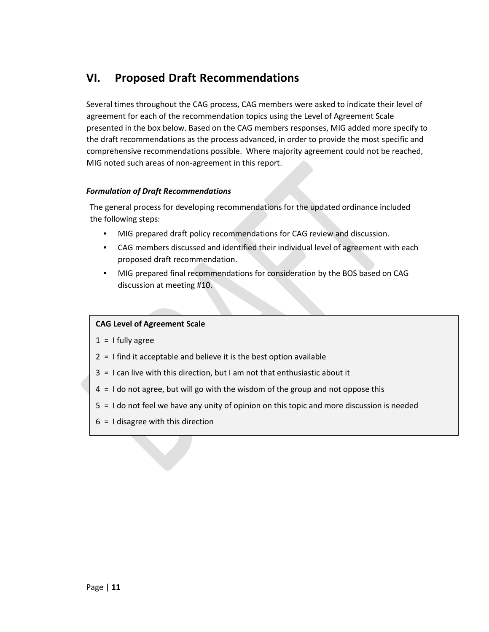# **VI. Proposed Draft Recommendations**

Several times throughout the CAG process, CAG members were asked to indicate their level of agreement for each of the recommendation topics using the Level of Agreement Scale presented in the box below. Based on the CAG members responses, MIG added more specify to the draft recommendations as the process advanced, in order to provide the most specific and comprehensive recommendations possible. Where majority agreement could not be reached, MIG noted such areas of non-agreement in this report.

### *Formulation of Draft Recommendations*

The general process for developing recommendations for the updated ordinance included the following steps:

- MIG prepared draft policy recommendations for CAG review and discussion.
- CAG members discussed and identified their individual level of agreement with each proposed draft recommendation.
- MIG prepared final recommendations for consideration by the BOS based on CAG discussion at meeting #10.

#### **CAG Level of Agreement Scale**

- $1 = 1$  fully agree
- $2 = 1$  find it acceptable and believe it is the best option available
- 3 = I can live with this direction, but I am not that enthusiastic about it
- 4 = I do not agree, but will go with the wisdom of the group and not oppose this
- 5 = I do not feel we have any unity of opinion on this topic and more discussion is needed
- $6 = 1$  disagree with this direction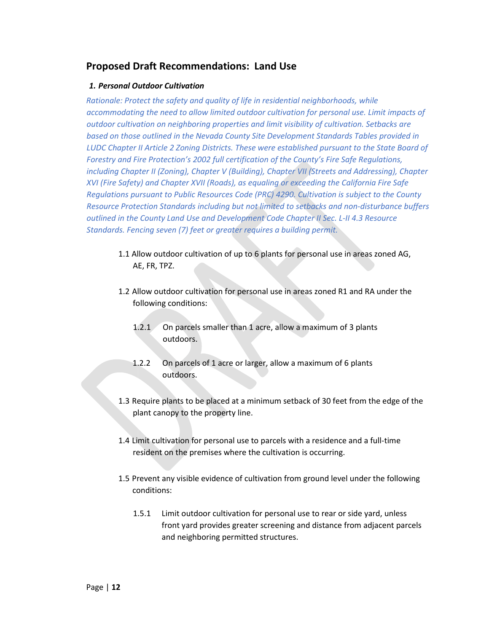### **Proposed Draft Recommendations: Land Use**

### *1. Personal Outdoor Cultivation*

*Rationale: Protect the safety and quality of life in residential neighborhoods, while accommodating the need to allow limited outdoor cultivation for personal use. Limit impacts of outdoor cultivation on neighboring properties and limit visibility of cultivation. Setbacks are based on those outlined in the Nevada County Site Development Standards Tables provided in LUDC Chapter II Article 2 Zoning Districts. These were established pursuant to the State Board of Forestry and Fire Protection's 2002 full certification of the County's Fire Safe Regulations, including Chapter II (Zoning), Chapter V (Building), Chapter VII (Streets and Addressing), Chapter XVI (Fire Safety) and Chapter XVII (Roads), as equaling or exceeding the California Fire Safe Regulations pursuant to Public Resources Code (PRC) 4290. Cultivation is subject to the County Resource Protection Standards including but not limited to setbacks and non-disturbance buffers outlined in the County Land Use and Development Code Chapter II Sec. L-II 4.3 Resource Standards. Fencing seven (7) feet or greater requires a building permit.*

- 1.1 Allow outdoor cultivation of up to 6 plants for personal use in areas zoned AG, AE, FR, TPZ.
- 1.2 Allow outdoor cultivation for personal use in areas zoned R1 and RA under the following conditions:
	- 1.2.1 On parcels smaller than 1 acre, allow a maximum of 3 plants outdoors.
	- 1.2.2 On parcels of 1 acre or larger, allow a maximum of 6 plants outdoors.
- 1.3 Require plants to be placed at a minimum setback of 30 feet from the edge of the plant canopy to the property line.
- 1.4 Limit cultivation for personal use to parcels with a residence and a full-time resident on the premises where the cultivation is occurring.
- 1.5 Prevent any visible evidence of cultivation from ground level under the following conditions:
	- 1.5.1 Limit outdoor cultivation for personal use to rear or side yard, unless front yard provides greater screening and distance from adjacent parcels and neighboring permitted structures.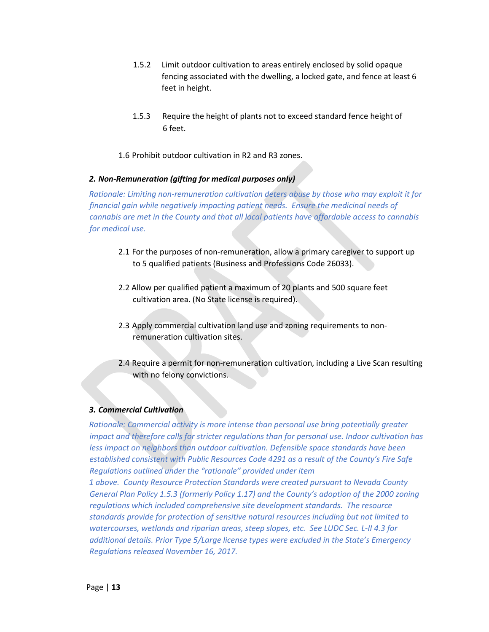- 1.5.2 Limit outdoor cultivation to areas entirely enclosed by solid opaque fencing associated with the dwelling, a locked gate, and fence at least 6 feet in height.
- 1.5.3 Require the height of plants not to exceed standard fence height of 6 feet.
- 1.6 Prohibit outdoor cultivation in R2 and R3 zones.

#### *2. Non-Remuneration (gifting for medical purposes only)*

*Rationale: Limiting non-remuneration cultivation deters abuse by those who may exploit it for financial gain while negatively impacting patient needs. Ensure the medicinal needs of cannabis are met in the County and that all local patients have affordable access to cannabis for medical use.* 

- 2.1 For the purposes of non-remuneration, allow a primary caregiver to support up to 5 qualified patients (Business and Professions Code 26033).
- 2.2 Allow per qualified patient a maximum of 20 plants and 500 square feet cultivation area. (No State license is required).
- 2.3 Apply commercial cultivation land use and zoning requirements to nonremuneration cultivation sites.
- 2.4 Require a permit for non-remuneration cultivation, including a Live Scan resulting with no felony convictions.

#### *3. Commercial Cultivation*

*Rationale: Commercial activity is more intense than personal use bring potentially greater impact and therefore calls for stricter regulations than for personal use. Indoor cultivation has less impact on neighbors than outdoor cultivation. Defensible space standards have been established consistent with Public Resources Code 4291 as a result of the County's Fire Safe Regulations outlined under the "rationale" provided under item* 

*1 above. County Resource Protection Standards were created pursuant to Nevada County General Plan Policy 1.5.3 (formerly Policy 1.17) and the County's adoption of the 2000 zoning regulations which included comprehensive site development standards. The resource standards provide for protection of sensitive natural resources including but not limited to watercourses, wetlands and riparian areas, steep slopes, etc. See LUDC Sec. L-II 4.3 for additional details. Prior Type 5/Large license types were excluded in the State's Emergency Regulations released November 16, 2017.*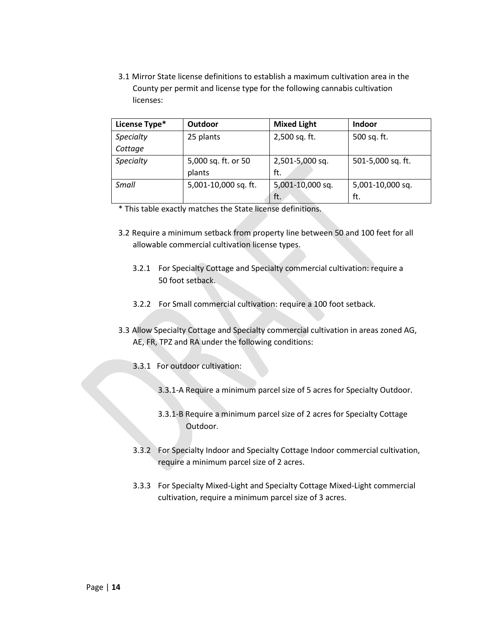3.1 Mirror State license definitions to establish a maximum cultivation area in the County per permit and license type for the following cannabis cultivation licenses:

| License Type* | Outdoor              | <b>Mixed Light</b> | Indoor            |
|---------------|----------------------|--------------------|-------------------|
| Specialty     | 25 plants            | 2,500 sq. ft.      | 500 sq. ft.       |
| Cottage       |                      |                    |                   |
| Specialty     | 5,000 sq. ft. or 50  | 2,501-5,000 sq.    | 501-5,000 sq. ft. |
|               | plants               | ft.                |                   |
| Small         | 5,001-10,000 sq. ft. | 5,001-10,000 sq.   | 5,001-10,000 sq.  |
|               |                      | ft.                | ft.               |

\* This table exactly matches the State license definitions.

- 3.2 Require a minimum setback from property line between 50 and 100 feet for all allowable commercial cultivation license types.
	- 3.2.1 For Specialty Cottage and Specialty commercial cultivation: require a 50 foot setback.
	- 3.2.2 For Small commercial cultivation: require a 100 foot setback.
- 3.3 Allow Specialty Cottage and Specialty commercial cultivation in areas zoned AG, AE, FR, TPZ and RA under the following conditions:
	- 3.3.1 For outdoor cultivation:
		- 3.3.1-A Require a minimum parcel size of 5 acres for Specialty Outdoor.
		- 3.3.1-B Require a minimum parcel size of 2 acres for Specialty Cottage Outdoor.
	- 3.3.2 For Specialty Indoor and Specialty Cottage Indoor commercial cultivation, require a minimum parcel size of 2 acres.
	- 3.3.3 For Specialty Mixed-Light and Specialty Cottage Mixed-Light commercial cultivation, require a minimum parcel size of 3 acres.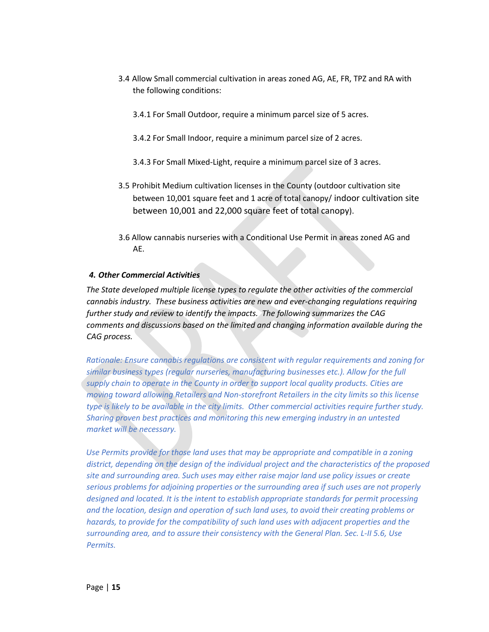- 3.4 Allow Small commercial cultivation in areas zoned AG, AE, FR, TPZ and RA with the following conditions:
	- 3.4.1 For Small Outdoor, require a minimum parcel size of 5 acres.
	- 3.4.2 For Small Indoor, require a minimum parcel size of 2 acres.
	- 3.4.3 For Small Mixed-Light, require a minimum parcel size of 3 acres.
- 3.5 Prohibit Medium cultivation licenses in the County (outdoor cultivation site between 10,001 square feet and 1 acre of total canopy/ indoor cultivation site between 10,001 and 22,000 square feet of total canopy).
- 3.6 Allow cannabis nurseries with a Conditional Use Permit in areas zoned AG and AE.

### *4. Other Commercial Activities*

*The State developed multiple license types to regulate the other activities of the commercial cannabis industry. These business activities are new and ever-changing regulations requiring further study and review to identify the impacts. The following summarizes the CAG comments and discussions based on the limited and changing information available during the CAG process.*

*Rationale: Ensure cannabis regulations are consistent with regular requirements and zoning for similar business types (regular nurseries, manufacturing businesses etc.). Allow for the full supply chain to operate in the County in order to support local quality products. Cities are moving toward allowing Retailers and Non-storefront Retailers in the city limits so this license type is likely to be available in the city limits. Other commercial activities require further study. Sharing proven best practices and monitoring this new emerging industry in an untested market will be necessary.*

*Use Permits provide for those land uses that may be appropriate and compatible in a zoning district, depending on the design of the individual project and the characteristics of the proposed site and surrounding area. Such uses may either raise major land use policy issues or create serious problems for adjoining properties or the surrounding area if such uses are not properly designed and located. It is the intent to establish appropriate standards for permit processing and the location, design and operation of such land uses, to avoid their creating problems or hazards, to provide for the compatibility of such land uses with adjacent properties and the surrounding area, and to assure their consistency with the General Plan. Sec. L-II 5.6, Use Permits.*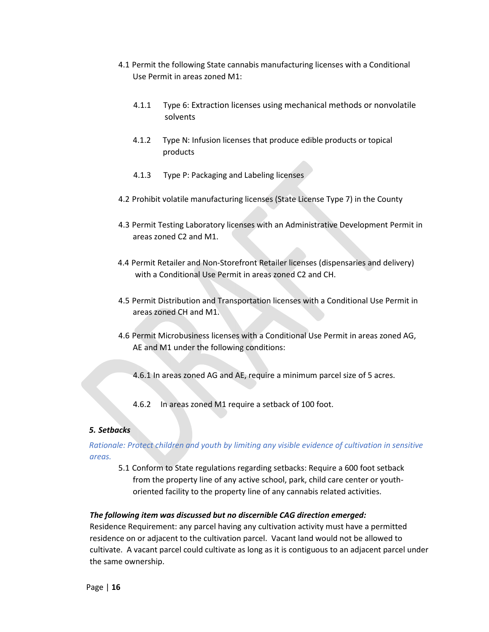- 4.1 Permit the following State cannabis manufacturing licenses with a Conditional Use Permit in areas zoned M1:
	- 4.1.1 Type 6: Extraction licenses using mechanical methods or nonvolatile solvents
	- 4.1.2 Type N: Infusion licenses that produce edible products or topical products
	- 4.1.3 Type P: Packaging and Labeling licenses
- 4.2 Prohibit volatile manufacturing licenses (State License Type 7) in the County
- 4.3 Permit Testing Laboratory licenses with an Administrative Development Permit in areas zoned C2 and M1.
- 4.4 Permit Retailer and Non-Storefront Retailer licenses (dispensaries and delivery) with a Conditional Use Permit in areas zoned C2 and CH.
- 4.5 Permit Distribution and Transportation licenses with a Conditional Use Permit in areas zoned CH and M1.
- 4.6 Permit Microbusiness licenses with a Conditional Use Permit in areas zoned AG, AE and M1 under the following conditions:

4.6.1 In areas zoned AG and AE, require a minimum parcel size of 5 acres.

4.6.2 In areas zoned M1 require a setback of 100 foot.

#### *5. Setbacks*

*Rationale: Protect children and youth by limiting any visible evidence of cultivation in sensitive areas.* 

5.1 Conform to State regulations regarding setbacks: Require a 600 foot setback from the property line of any active school, park, child care center or youthoriented facility to the property line of any cannabis related activities.

#### *The following item was discussed but no discernible CAG direction emerged:*

Residence Requirement: any parcel having any cultivation activity must have a permitted residence on or adjacent to the cultivation parcel. Vacant land would not be allowed to cultivate. A vacant parcel could cultivate as long as it is contiguous to an adjacent parcel under the same ownership.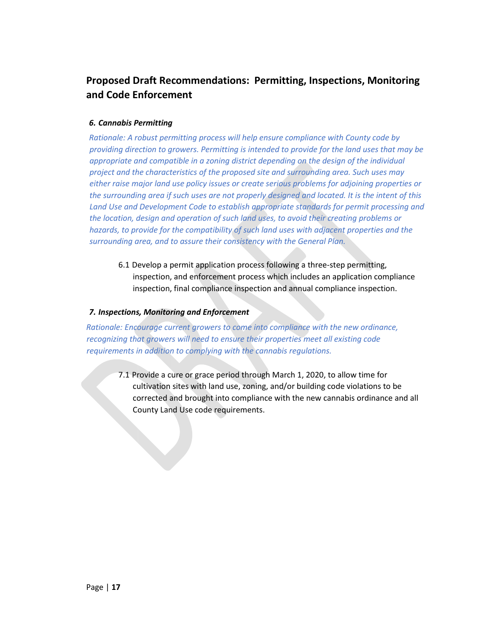## **Proposed Draft Recommendations: Permitting, Inspections, Monitoring and Code Enforcement**

### *6. Cannabis Permitting*

*Rationale: A robust permitting process will help ensure compliance with County code by providing direction to growers. Permitting is intended to provide for the land uses that may be appropriate and compatible in a zoning district depending on the design of the individual project and the characteristics of the proposed site and surrounding area. Such uses may either raise major land use policy issues or create serious problems for adjoining properties or the surrounding area if such uses are not properly designed and located. It is the intent of this Land Use and Development Code to establish appropriate standards for permit processing and the location, design and operation of such land uses, to avoid their creating problems or hazards, to provide for the compatibility of such land uses with adjacent properties and the surrounding area, and to assure their consistency with the General Plan.* 

6.1 Develop a permit application process following a three-step permitting, inspection, and enforcement process which includes an application compliance inspection, final compliance inspection and annual compliance inspection.

#### *7. Inspections, Monitoring and Enforcement*

*Rationale: Encourage current growers to come into compliance with the new ordinance, recognizing that growers will need to ensure their properties meet all existing code requirements in addition to complying with the cannabis regulations.*

7.1 Provide a cure or grace period through March 1, 2020, to allow time for cultivation sites with land use, zoning, and/or building code violations to be corrected and brought into compliance with the new cannabis ordinance and all County Land Use code requirements.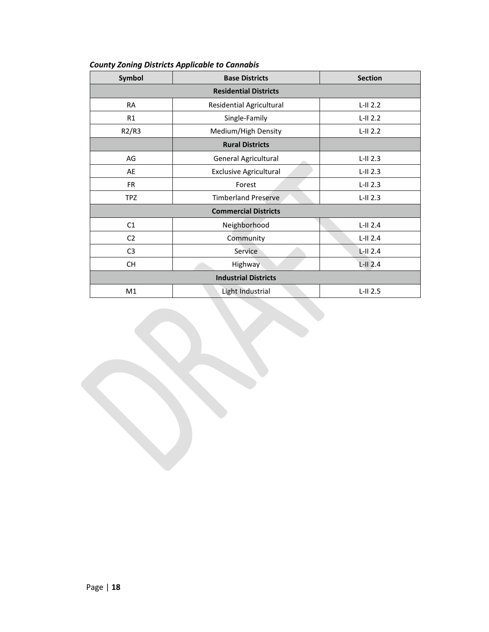| Symbol                       | <b>Base Districts</b>            | <b>Section</b> |  |  |  |  |
|------------------------------|----------------------------------|----------------|--|--|--|--|
| <b>Residential Districts</b> |                                  |                |  |  |  |  |
| <b>RA</b>                    | <b>Residential Agricultural</b>  | $L-H 2.2$      |  |  |  |  |
| R1                           | Single-Family                    | $L-II$ 2.2     |  |  |  |  |
| R2/R3                        | Medium/High Density              | $L-II$ 2.2     |  |  |  |  |
|                              | <b>Rural Districts</b>           |                |  |  |  |  |
| AG                           | General Agricultural<br><b>A</b> | $L-H2.3$       |  |  |  |  |
| AE                           | <b>Exclusive Agricultural</b>    | $L-H2.3$       |  |  |  |  |
| <b>FR</b>                    | Forest                           | $L-H2.3$       |  |  |  |  |
| <b>TPZ</b>                   | <b>Timberland Preserve</b>       | $L-H2.3$       |  |  |  |  |
| <b>Commercial Districts</b>  |                                  |                |  |  |  |  |
| C1                           | Neighborhood                     | $L-II$ 2.4     |  |  |  |  |
| C <sub>2</sub>               | Community                        | $L-II$ 2.4     |  |  |  |  |
| C <sub>3</sub>               | Service                          | $L$ -II 2.4    |  |  |  |  |
| <b>CH</b>                    | Highway                          | $L$ -II $2.4$  |  |  |  |  |
| <b>Industrial Districts</b>  |                                  |                |  |  |  |  |
| M1                           | Light Industrial                 | $L$ -II 2.5    |  |  |  |  |

### *County Zoning Districts Applicable to Cannabis*